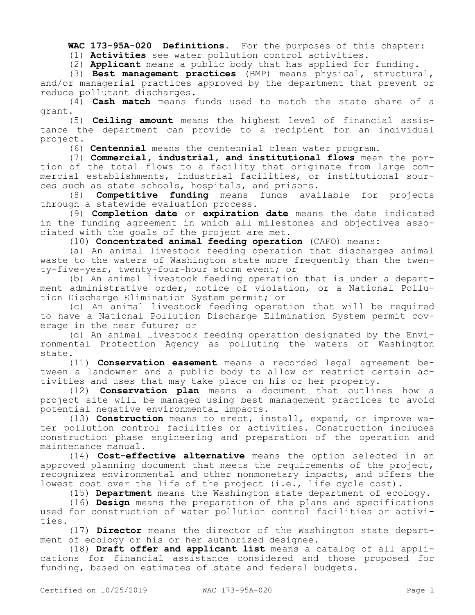**WAC 173-95A-020 Definitions.** For the purposes of this chapter:

(1) **Activities** see water pollution control activities.

(2) **Applicant** means a public body that has applied for funding.

(3) **Best management practices** (BMP) means physical, structural, and/or managerial practices approved by the department that prevent or reduce pollutant discharges.

(4) **Cash match** means funds used to match the state share of a grant.

(5) **Ceiling amount** means the highest level of financial assistance the department can provide to a recipient for an individual project.

(6) **Centennial** means the centennial clean water program.

(7) **Commercial, industrial, and institutional flows** mean the portion of the total flows to a facility that originate from large commercial establishments, industrial facilities, or institutional sources such as state schools, hospitals, and prisons.

(8) **Competitive funding** means funds available for projects through a statewide evaluation process.

(9) **Completion date** or **expiration date** means the date indicated in the funding agreement in which all milestones and objectives associated with the goals of the project are met.

(10) **Concentrated animal feeding operation** (CAFO) means:

(a) An animal livestock feeding operation that discharges animal waste to the waters of Washington state more frequently than the twenty-five-year, twenty-four-hour storm event; or

(b) An animal livestock feeding operation that is under a department administrative order, notice of violation, or a National Pollution Discharge Elimination System permit; or

(c) An animal livestock feeding operation that will be required to have a National Pollution Discharge Elimination System permit coverage in the near future; or

(d) An animal livestock feeding operation designated by the Environmental Protection Agency as polluting the waters of Washington state.

(11) **Conservation easement** means a recorded legal agreement between a landowner and a public body to allow or restrict certain activities and uses that may take place on his or her property.

(12) **Conservation plan** means a document that outlines how a project site will be managed using best management practices to avoid potential negative environmental impacts.

(13) **Construction** means to erect, install, expand, or improve water pollution control facilities or activities. Construction includes construction phase engineering and preparation of the operation and maintenance manual.

(14) **Cost-effective alternative** means the option selected in an approved planning document that meets the requirements of the project, recognizes environmental and other nonmonetary impacts, and offers the lowest cost over the life of the project (i.e., life cycle cost).

(15) **Department** means the Washington state department of ecology.

(16) **Design** means the preparation of the plans and specifications used for construction of water pollution control facilities or activities.

(17) **Director** means the director of the Washington state department of ecology or his or her authorized designee.

(18) **Draft offer and applicant list** means a catalog of all applications for financial assistance considered and those proposed for funding, based on estimates of state and federal budgets.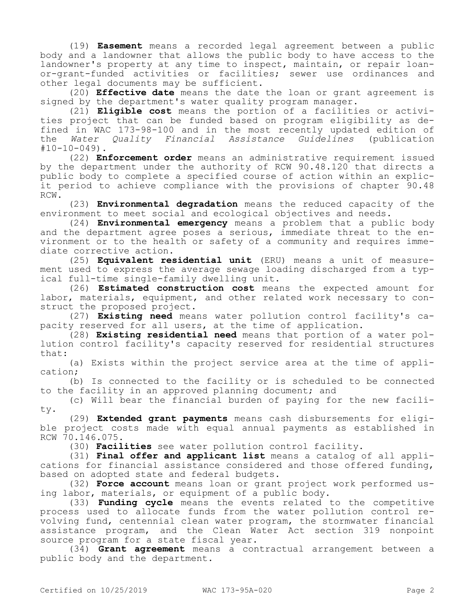(19) **Easement** means a recorded legal agreement between a public body and a landowner that allows the public body to have access to the landowner's property at any time to inspect, maintain, or repair loanor-grant-funded activities or facilities; sewer use ordinances and other legal documents may be sufficient.

(20) **Effective date** means the date the loan or grant agreement is signed by the department's water quality program manager.

(21) **Eligible cost** means the portion of a facilities or activities project that can be funded based on program eligibility as defined in WAC 173-98-100 and in the most recently updated edition of the *Water Quality Financial Assistance Guidelines* (publication  $#10-10-049$ ).

(22) **Enforcement order** means an administrative requirement issued by the department under the authority of RCW 90.48.120 that directs a public body to complete a specified course of action within an explicit period to achieve compliance with the provisions of chapter 90.48 RCW.

(23) **Environmental degradation** means the reduced capacity of the environment to meet social and ecological objectives and needs.

(24) **Environmental emergency** means a problem that a public body and the department agree poses a serious, immediate threat to the environment or to the health or safety of a community and requires immediate corrective action.

(25) **Equivalent residential unit** (ERU) means a unit of measurement used to express the average sewage loading discharged from a typical full-time single-family dwelling unit.

(26) **Estimated construction cost** means the expected amount for labor, materials, equipment, and other related work necessary to construct the proposed project.

(27) **Existing need** means water pollution control facility's capacity reserved for all users, at the time of application.

(28) **Existing residential need** means that portion of a water pollution control facility's capacity reserved for residential structures that:

(a) Exists within the project service area at the time of application;

(b) Is connected to the facility or is scheduled to be connected to the facility in an approved planning document; and

(c) Will bear the financial burden of paying for the new facility.

(29) **Extended grant payments** means cash disbursements for eligible project costs made with equal annual payments as established in RCW 70.146.075.

(30) **Facilities** see water pollution control facility.

(31) **Final offer and applicant list** means a catalog of all applications for financial assistance considered and those offered funding, based on adopted state and federal budgets.

(32) **Force account** means loan or grant project work performed using labor, materials, or equipment of a public body.

(33) **Funding cycle** means the events related to the competitive process used to allocate funds from the water pollution control revolving fund, centennial clean water program, the stormwater financial assistance program, and the Clean Water Act section 319 nonpoint source program for a state fiscal year.

(34) **Grant agreement** means a contractual arrangement between a public body and the department.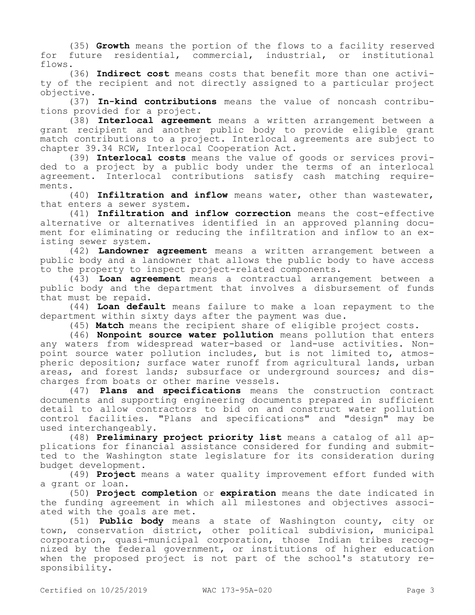(35) **Growth** means the portion of the flows to a facility reserved for future residential, commercial, industrial, or institutional flows.

(36) **Indirect cost** means costs that benefit more than one activity of the recipient and not directly assigned to a particular project objective.

(37) **In-kind contributions** means the value of noncash contributions provided for a project.

(38) **Interlocal agreement** means a written arrangement between a grant recipient and another public body to provide eligible grant match contributions to a project. Interlocal agreements are subject to chapter 39.34 RCW, Interlocal Cooperation Act.

(39) **Interlocal costs** means the value of goods or services provided to a project by a public body under the terms of an interlocal agreement. Interlocal contributions satisfy cash matching requirements.

(40) **Infiltration and inflow** means water, other than wastewater, that enters a sewer system.

(41) **Infiltration and inflow correction** means the cost-effective alternative or alternatives identified in an approved planning document for eliminating or reducing the infiltration and inflow to an existing sewer system.

(42) **Landowner agreement** means a written arrangement between a public body and a landowner that allows the public body to have access to the property to inspect project-related components.

(43) **Loan agreement** means a contractual arrangement between a public body and the department that involves a disbursement of funds that must be repaid.

(44) **Loan default** means failure to make a loan repayment to the department within sixty days after the payment was due.

(45) **Match** means the recipient share of eligible project costs.

(46) **Nonpoint source water pollution** means pollution that enters any waters from widespread water-based or land-use activities. Nonpoint source water pollution includes, but is not limited to, atmospheric deposition; surface water runoff from agricultural lands, urban areas, and forest lands; subsurface or underground sources; and discharges from boats or other marine vessels.

(47) **Plans and specifications** means the construction contract documents and supporting engineering documents prepared in sufficient detail to allow contractors to bid on and construct water pollution control facilities. "Plans and specifications" and "design" may be used interchangeably.

(48) **Preliminary project priority list** means a catalog of all applications for financial assistance considered for funding and submitted to the Washington state legislature for its consideration during budget development.

(49) **Project** means a water quality improvement effort funded with a grant or loan.

(50) **Project completion** or **expiration** means the date indicated in the funding agreement in which all milestones and objectives associated with the goals are met.

(51) **Public body** means a state of Washington county, city or town, conservation district, other political subdivision, municipal corporation, quasi-municipal corporation, those Indian tribes recognized by the federal government, or institutions of higher education when the proposed project is not part of the school's statutory responsibility.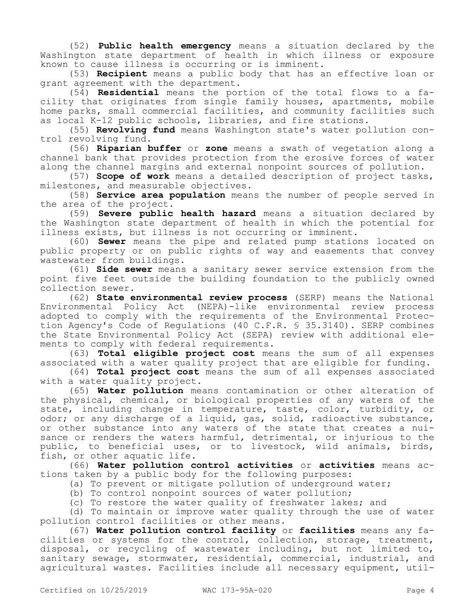(52) **Public health emergency** means a situation declared by the Washington state department of health in which illness or exposure known to cause illness is occurring or is imminent.

(53) **Recipient** means a public body that has an effective loan or grant agreement with the department.

(54) **Residential** means the portion of the total flows to a facility that originates from single family houses, apartments, mobile home parks, small commercial facilities, and community facilities such as local K-12 public schools, libraries, and fire stations.

(55) **Revolving fund** means Washington state's water pollution control revolving fund.

(56) **Riparian buffer** or **zone** means a swath of vegetation along a channel bank that provides protection from the erosive forces of water along the channel margins and external nonpoint sources of pollution.

(57) **Scope of work** means a detailed description of project tasks, milestones, and measurable objectives.

(58) **Service area population** means the number of people served in the area of the project.

(59) **Severe public health hazard** means a situation declared by the Washington state department of health in which the potential for illness exists, but illness is not occurring or imminent.

(60) **Sewer** means the pipe and related pump stations located on public property or on public rights of way and easements that convey wastewater from buildings.

(61) **Side sewer** means a sanitary sewer service extension from the point five feet outside the building foundation to the publicly owned collection sewer.

(62) **State environmental review process** (SERP) means the National Environmental Policy Act (NEPA)-like environmental review process adopted to comply with the requirements of the Environmental Protection Agency's Code of Regulations (40 C.F.R. § 35.3140). SERP combines the State Environmental Policy Act (SEPA) review with additional elements to comply with federal requirements.

(63) **Total eligible project cost** means the sum of all expenses associated with a water quality project that are eligible for funding.

(64) **Total project cost** means the sum of all expenses associated with a water quality project.

(65) **Water pollution** means contamination or other alteration of the physical, chemical, or biological properties of any waters of the state, including change in temperature, taste, color, turbidity, or odor; or any discharge of a liquid, gas, solid, radioactive substance, or other substance into any waters of the state that creates a nuisance or renders the waters harmful, detrimental, or injurious to the public, to beneficial uses, or to livestock, wild animals, birds, fish, or other aquatic life.

(66) **Water pollution control activities** or **activities** means actions taken by a public body for the following purposes:

(a) To prevent or mitigate pollution of underground water;

(b) To control nonpoint sources of water pollution;

(c) To restore the water quality of freshwater lakes; and

(d) To maintain or improve water quality through the use of water pollution control facilities or other means.

(67) **Water pollution control facility** or **facilities** means any facilities or systems for the control, collection, storage, treatment, disposal, or recycling of wastewater including, but not limited to, sanitary sewage, stormwater, residential, commercial, industrial, and agricultural wastes. Facilities include all necessary equipment, util